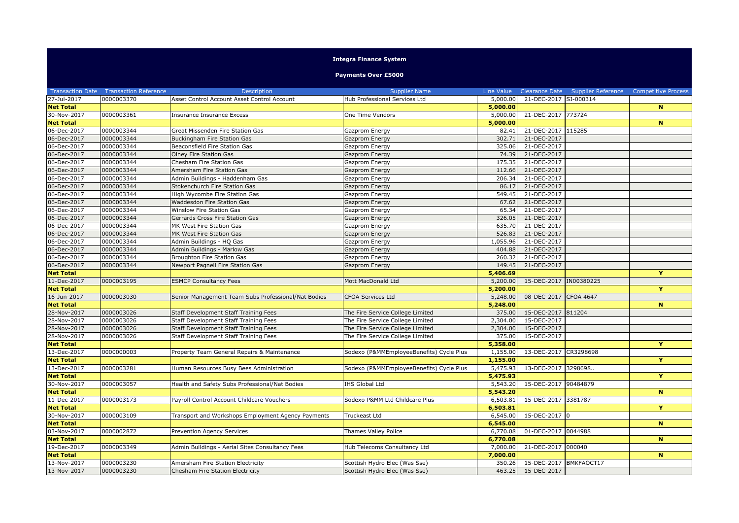## **Integra Finance System**

## **Payments Over £5000**

|                  | <b>Transaction Date  Transaction Reference</b> | <b>Description</b>                                  | <b>Supplier Name</b>                     | Line Value |                         | Clearance Date Supplier Reference | <b>Competitive Process</b> |
|------------------|------------------------------------------------|-----------------------------------------------------|------------------------------------------|------------|-------------------------|-----------------------------------|----------------------------|
| 27-Jul-2017      | 0000003370                                     | Asset Control Account Asset Control Account         | Hub Professional Services Ltd            | 5,000.00   | 21-DEC-2017 SI-000314   |                                   |                            |
| <b>Net Total</b> |                                                |                                                     |                                          | 5,000.00   |                         |                                   | $\mathbf{N}$               |
| 30-Nov-2017      | 0000003361                                     | Insurance Insurance Excess                          | One Time Vendors                         | 5,000.00   | 21-DEC-2017             | 773724                            |                            |
| <b>Net Total</b> |                                                |                                                     |                                          | 5,000.00   |                         |                                   | $\mathbf N$                |
| 06-Dec-2017      | 0000003344                                     | Great Missenden Fire Station Gas                    | Gazprom Energy                           | 82.41      | 21-DEC-2017 115285      |                                   |                            |
| 06-Dec-2017      | 0000003344                                     | Buckingham Fire Station Gas                         | Gazprom Energy                           | 302.71     | 21-DEC-2017             |                                   |                            |
| 06-Dec-2017      | 0000003344                                     | Beaconsfield Fire Station Gas                       | Gazprom Energy                           | 325.06     | 21-DEC-2017             |                                   |                            |
| 06-Dec-2017      | 0000003344                                     | Olney Fire Station Gas                              | Gazprom Energy                           | 74.39      | 21-DEC-2017             |                                   |                            |
| 06-Dec-2017      | 0000003344                                     | Chesham Fire Station Gas                            | Gazprom Energy                           | 175.35     | 21-DEC-2017             |                                   |                            |
| 06-Dec-2017      | 0000003344                                     | Amersham Fire Station Gas                           | Gazprom Energy                           | 112.66     | 21-DEC-2017             |                                   |                            |
| 06-Dec-2017      | 0000003344                                     | Admin Buildings - Haddenham Gas                     | Gazprom Energy                           | 206.34     | 21-DEC-2017             |                                   |                            |
| 06-Dec-2017      | 0000003344                                     | Stokenchurch Fire Station Gas                       | Gazprom Energy                           | 86.17      | 21-DEC-2017             |                                   |                            |
| 06-Dec-2017      | 0000003344                                     | High Wycombe Fire Station Gas                       | Gazprom Energy                           | 549.45     | 21-DEC-2017             |                                   |                            |
| 06-Dec-2017      | 0000003344                                     | Waddesdon Fire Station Gas                          | Gazprom Energy                           | 67.62      | 21-DEC-2017             |                                   |                            |
| 06-Dec-2017      | 0000003344                                     | Winslow Fire Station Gas                            | Gazprom Energy                           | 65.34      | 21-DEC-2017             |                                   |                            |
| 06-Dec-2017      | 0000003344                                     | Gerrards Cross Fire Station Gas                     | Gazprom Energy                           | 326.05     | 21-DEC-2017             |                                   |                            |
| 06-Dec-2017      | 0000003344                                     | MK West Fire Station Gas                            | Gazprom Energy                           | 635.70     | 21-DEC-2017             |                                   |                            |
| 06-Dec-2017      | 0000003344                                     | MK West Fire Station Gas                            | Gazprom Energy                           | 526.83     | 21-DEC-2017             |                                   |                            |
| 06-Dec-2017      | 0000003344                                     | Admin Buildings - HQ Gas                            | Gazprom Energy                           | 1,055.96   | 21-DEC-2017             |                                   |                            |
| 06-Dec-2017      | 0000003344                                     | Admin Buildings - Marlow Gas                        | Gazprom Energy                           | 404.88     | 21-DEC-2017             |                                   |                            |
| 06-Dec-2017      | 0000003344                                     | Broughton Fire Station Gas                          | Gazprom Energy                           | 260.32     | 21-DEC-2017             |                                   |                            |
| 06-Dec-2017      | 0000003344                                     | Newport Pagnell Fire Station Gas                    | Gazprom Energy                           | 149.45     | 21-DEC-2017             |                                   |                            |
| <b>Net Total</b> |                                                |                                                     |                                          | 5,406.69   |                         |                                   | Y                          |
| 11-Dec-2017      | 0000003195                                     | <b>ESMCP Consultancy Fees</b>                       | Mott MacDonald Ltd                       | 5,200.00   | 15-DEC-2017  IN00380225 |                                   |                            |
| <b>Net Total</b> |                                                |                                                     |                                          | 5,200.00   |                         |                                   | Ÿ                          |
| 16-Jun-2017      | 0000003030                                     | Senior Management Team Subs Professional/Nat Bodies | <b>CFOA Services Ltd</b>                 | 5,248.00   | 08-DEC-2017             | <b>CFOA 4647</b>                  |                            |
| <b>Net Total</b> |                                                |                                                     |                                          | 5,248.00   |                         |                                   | $\mathbf N$                |
| 28-Nov-2017      | 0000003026                                     | Staff Development Staff Training Fees               | The Fire Service College Limited         | 375.00     | 15-DEC-2017 811204      |                                   |                            |
| 28-Nov-2017      | 0000003026                                     | Staff Development Staff Training Fees               | The Fire Service College Limited         | 2,304.00   | 15-DEC-2017             |                                   |                            |
| 28-Nov-2017      | 0000003026                                     | Staff Development Staff Training Fees               | The Fire Service College Limited         | 2,304.00   | 15-DEC-2017             |                                   |                            |
| 28-Nov-2017      | 0000003026                                     | Staff Development Staff Training Fees               | The Fire Service College Limited         | 375.00     | 15-DEC-2017             |                                   |                            |
| <b>Net Total</b> |                                                |                                                     |                                          | 5,358.00   |                         |                                   | Y                          |
| 13-Dec-2017      | 0000000003                                     | Property Team General Repairs & Maintenance         | Sodexo (P&MMEmployeeBenefits) Cycle Plus | 1,155.00   | 13-DEC-2017 CR3298698   |                                   |                            |
| <b>Net Total</b> |                                                |                                                     |                                          | 1,155.00   |                         |                                   | Y                          |
| 13-Dec-2017      | 0000003281                                     | Human Resources Busy Bees Administration            | Sodexo (P&MMEmployeeBenefits) Cycle Plus | 5,475.93   | 13-DEC-2017 3298698.    |                                   |                            |
| <b>Net Total</b> |                                                |                                                     |                                          | 5,475.93   |                         |                                   | Ÿ                          |
| 30-Nov-2017      | 0000003057                                     | Health and Safety Subs Professional/Nat Bodies      | IHS Global Ltd                           | 5,543.20   | 15-DEC-2017 90484879    |                                   |                            |
| <b>Net Total</b> |                                                |                                                     |                                          | 5,543.20   |                         |                                   | $\mathbf N$                |
| 11-Dec-2017      | 0000003173                                     | Payroll Control Account Childcare Vouchers          | Sodexo P&MM Ltd Childcare Plus           | 6,503.81   | 15-DEC-2017 3381787     |                                   | Y                          |
| <b>Net Total</b> |                                                |                                                     |                                          | 6,503.81   |                         |                                   |                            |
| 30-Nov-2017      | 0000003109                                     | Transport and Workshops Employment Agency Payments  | Truckeast Ltd                            | 6,545.00   | 15-DEC-2017 0           |                                   | $\overline{\mathbf{N}}$    |
| <b>Net Total</b> |                                                |                                                     |                                          | 6,545.00   |                         |                                   |                            |
| 03-Nov-2017      | 0000002872                                     | Prevention Agency Services                          | Thames Valley Police                     | 6,770.08   | 01-DEC-2017 0044988     |                                   |                            |
| <b>Net Total</b> |                                                |                                                     |                                          | 6,770.08   |                         |                                   | N                          |
| 19-Dec-2017      | 0000003349                                     | Admin Buildings - Aerial Sites Consultancy Fees     | Hub Telecoms Consultancy Ltd             | 7,000.00   | 21-DEC-2017 000040      |                                   |                            |
| <b>Net Total</b> |                                                |                                                     |                                          | 7,000.00   |                         |                                   | N                          |
| 13-Nov-2017      | 0000003230                                     | Amersham Fire Station Electricity                   | Scottish Hydro Elec (Was Sse)            | 350.26     | 15-DEC-2017 BMKFAOCT17  |                                   |                            |
| 13-Nov-2017      | 0000003230                                     | Chesham Fire Station Electricity                    | Scottish Hydro Elec (Was Sse)            |            | 463.25 15-DEC-2017      |                                   |                            |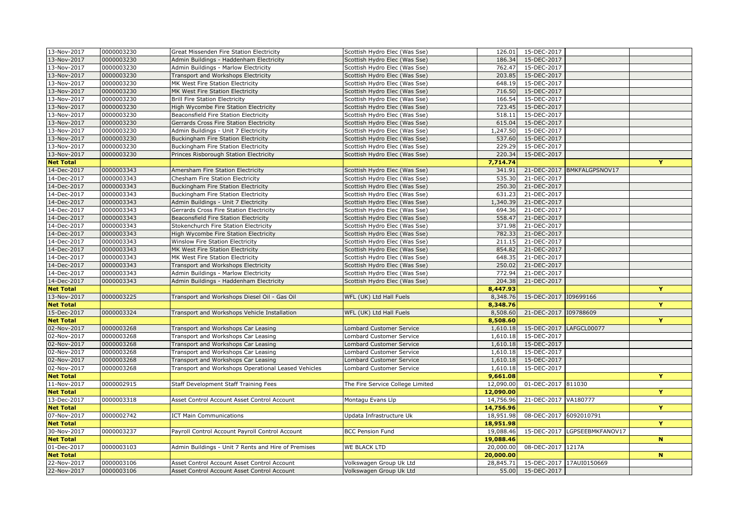| 13-Nov-2017      | 0000003230 | Great Missenden Fire Station Electricity            | Scottish Hydro Elec (Was Sse)    | 126.01    | 15-DEC-2017            |                              |                         |
|------------------|------------|-----------------------------------------------------|----------------------------------|-----------|------------------------|------------------------------|-------------------------|
| 13-Nov-2017      | 0000003230 | Admin Buildings - Haddenham Electricity             | Scottish Hydro Elec (Was Sse)    | 186.34    | 15-DEC-2017            |                              |                         |
| 13-Nov-2017      | 0000003230 | Admin Buildings - Marlow Electricity                | Scottish Hydro Elec (Was Sse)    | 762.47    | 15-DEC-2017            |                              |                         |
| 13-Nov-2017      | 0000003230 | Transport and Workshops Electricity                 | Scottish Hydro Elec (Was Sse)    | 203.85    | 15-DEC-2017            |                              |                         |
| 13-Nov-2017      | 0000003230 | MK West Fire Station Electricity                    | Scottish Hydro Elec (Was Sse)    | 648.19    | 15-DEC-2017            |                              |                         |
| 13-Nov-2017      | 0000003230 | MK West Fire Station Electricity                    | Scottish Hydro Elec (Was Sse)    | 716.50    | 15-DEC-2017            |                              |                         |
| 13-Nov-2017      | 0000003230 | <b>Brill Fire Station Electricity</b>               | Scottish Hydro Elec (Was Sse)    | 166.54    | 15-DEC-2017            |                              |                         |
| 13-Nov-2017      | 0000003230 | High Wycombe Fire Station Electricity               | Scottish Hydro Elec (Was Sse)    | 723.45    | 15-DEC-2017            |                              |                         |
| 13-Nov-2017      | 0000003230 | Beaconsfield Fire Station Electricity               | Scottish Hydro Elec (Was Sse)    | 518.11    | 15-DEC-2017            |                              |                         |
| 13-Nov-2017      | 0000003230 | Gerrards Cross Fire Station Electricity             | Scottish Hydro Elec (Was Sse)    | 615.04    | 15-DEC-2017            |                              |                         |
| 13-Nov-2017      | 0000003230 | Admin Buildings - Unit 7 Electricity                | Scottish Hydro Elec (Was Sse)    | 1,247.50  | 15-DEC-2017            |                              |                         |
| 13-Nov-2017      | 0000003230 | <b>Buckingham Fire Station Electricity</b>          | Scottish Hydro Elec (Was Sse)    | 537.60    | 15-DEC-2017            |                              |                         |
| 13-Nov-2017      | 0000003230 | Buckingham Fire Station Electricity                 | Scottish Hydro Elec (Was Sse)    | 229.29    | 15-DEC-2017            |                              |                         |
| 13-Nov-2017      | 0000003230 | Princes Risborough Station Electricity              | Scottish Hydro Elec (Was Sse)    | 220.34    | 15-DEC-2017            |                              |                         |
| <b>Net Total</b> |            |                                                     |                                  | 7,714.74  |                        |                              | Y                       |
| 14-Dec-2017      | 0000003343 | Amersham Fire Station Electricity                   | Scottish Hydro Elec (Was Sse)    | 341.91    | 21-DEC-2017            | BMKFALGPSNOV17               |                         |
| 14-Dec-2017      | 0000003343 | Chesham Fire Station Electricity                    | Scottish Hydro Elec (Was Sse)    | 535.30    | 21-DEC-2017            |                              |                         |
| 14-Dec-2017      | 0000003343 | Buckingham Fire Station Electricity                 | Scottish Hydro Elec (Was Sse)    | 250.30    | 21-DEC-2017            |                              |                         |
| 14-Dec-2017      | 0000003343 | Buckingham Fire Station Electricity                 | Scottish Hydro Elec (Was Sse)    | 631.23    | 21-DEC-2017            |                              |                         |
| 14-Dec-2017      | 0000003343 | Admin Buildings - Unit 7 Electricity                | Scottish Hydro Elec (Was Sse)    | 1,340.39  | 21-DEC-2017            |                              |                         |
| 14-Dec-2017      | 0000003343 | Gerrards Cross Fire Station Electricity             | Scottish Hydro Elec (Was Sse)    | 694.36    | 21-DEC-2017            |                              |                         |
| 14-Dec-2017      | 0000003343 | Beaconsfield Fire Station Electricity               | Scottish Hydro Elec (Was Sse)    | 558.47    | 21-DEC-2017            |                              |                         |
| 14-Dec-2017      | 0000003343 | Stokenchurch Fire Station Electricity               | Scottish Hydro Elec (Was Sse)    | 371.98    | 21-DEC-2017            |                              |                         |
| 14-Dec-2017      | 0000003343 | High Wycombe Fire Station Electricity               | Scottish Hydro Elec (Was Sse)    | 782.33    | 21-DEC-2017            |                              |                         |
| 14-Dec-2017      | 0000003343 | Winslow Fire Station Electricity                    | Scottish Hydro Elec (Was Sse)    | 211.15    | 21-DEC-2017            |                              |                         |
| 14-Dec-2017      | 0000003343 | MK West Fire Station Electricity                    | Scottish Hydro Elec (Was Sse)    | 854.82    | 21-DEC-2017            |                              |                         |
| 14-Dec-2017      | 0000003343 | MK West Fire Station Electricity                    | Scottish Hydro Elec (Was Sse)    | 648.35    | 21-DEC-2017            |                              |                         |
| 14-Dec-2017      | 0000003343 | Transport and Workshops Electricity                 | Scottish Hydro Elec (Was Sse)    | 250.02    | 21-DEC-2017            |                              |                         |
| 14-Dec-2017      | 0000003343 | Admin Buildings - Marlow Electricity                | Scottish Hydro Elec (Was Sse)    | 772.94    | 21-DEC-2017            |                              |                         |
| 14-Dec-2017      | 0000003343 | Admin Buildings - Haddenham Electricity             | Scottish Hydro Elec (Was Sse)    | 204.38    | 21-DEC-2017            |                              |                         |
| <b>Net Total</b> |            |                                                     |                                  | 8,447.93  |                        |                              | Y                       |
| 13-Nov-2017      | 0000003225 | Transport and Workshops Diesel Oil - Gas Oil        | WFL (UK) Ltd Hall Fuels          | 8,348.76  | 15-DEC-2017 109699166  |                              |                         |
| <b>Net Total</b> |            |                                                     |                                  | 8,348.76  |                        |                              | Y                       |
| 15-Dec-2017      | 0000003324 | Transport and Workshops Vehicle Installation        | WFL (UK) Ltd Hall Fuels          | 8,508.60  | 21-DEC-2017            | 109788609                    |                         |
| <b>Net Total</b> |            |                                                     |                                  | 8,508.60  |                        |                              | Ÿ                       |
| 02-Nov-2017      | 0000003268 | Transport and Workshops Car Leasing                 | Lombard Customer Service         | 1,610.18  | 15-DEC-2017            | LAFGCL00077                  |                         |
| 02-Nov-2017      | 0000003268 | Transport and Workshops Car Leasing                 | Lombard Customer Service         | 1,610.18  | 15-DEC-2017            |                              |                         |
| 02-Nov-2017      | 0000003268 | Transport and Workshops Car Leasing                 | Lombard Customer Service         | 1,610.18  | 15-DEC-2017            |                              |                         |
| 02-Nov-2017      | 0000003268 | Transport and Workshops Car Leasing                 | Lombard Customer Service         | 1,610.18  | 15-DEC-2017            |                              |                         |
| 02-Nov-2017      | 0000003268 | Transport and Workshops Car Leasing                 | Lombard Customer Service         | 1,610.18  | 15-DEC-2017            |                              |                         |
| 02-Nov-2017      | 0000003268 | Transport and Workshops Operational Leased Vehicles | Lombard Customer Service         | 1,610.18  | 15-DEC-2017            |                              |                         |
| <b>Net Total</b> |            |                                                     |                                  | 9,661.08  |                        |                              | Ÿ                       |
| 11-Nov-2017      | 0000002915 | Staff Development Staff Training Fees               | The Fire Service College Limited | 12,090.00 | 01-DEC-2017 811030     |                              |                         |
| <b>Net Total</b> |            |                                                     |                                  | 12,090.00 |                        |                              | Y                       |
| 13-Dec-2017      | 0000003318 | Asset Control Account Asset Control Account         | Montagu Evans Llp                | 14,756.96 | 21-DEC-2017 VA180777   |                              |                         |
| <b>Net Total</b> |            |                                                     |                                  | 14,756.96 |                        |                              | Ÿ                       |
| 07-Nov-2017      | 0000002742 | <b>ICT Main Communications</b>                      | Updata Infrastructure Uk         | 18,951.98 | 08-DEC-2017 6092010791 |                              |                         |
| <b>Net Total</b> |            |                                                     |                                  | 18,951.98 |                        |                              | $\overline{\mathbf{Y}}$ |
| 30-Nov-2017      | 0000003237 | Payroll Control Account Payroll Control Account     | <b>BCC Pension Fund</b>          | 19,088.46 |                        | 15-DEC-2017 LGPSEEBMKFANOV17 |                         |
| <b>Net Total</b> |            |                                                     |                                  | 19,088.46 |                        |                              | $\mathbf N$             |
| 01-Dec-2017      | 0000003103 | Admin Buildings - Unit 7 Rents and Hire of Premises | WE BLACK LTD                     | 20,000.00 | 08-DEC-2017 1217A      |                              |                         |
| <b>Net Total</b> |            |                                                     |                                  | 20,000.00 |                        |                              | $\mathbf N$             |
| 22-Nov-2017      | 0000003106 | Asset Control Account Asset Control Account         | Volkswagen Group Uk Ltd          | 28,845.71 |                        | 15-DEC-2017 17AUI0150669     |                         |
| 22-Nov-2017      | 0000003106 | Asset Control Account Asset Control Account         | Volkswagen Group Uk Ltd          | 55.00     | 15-DEC-2017            |                              |                         |